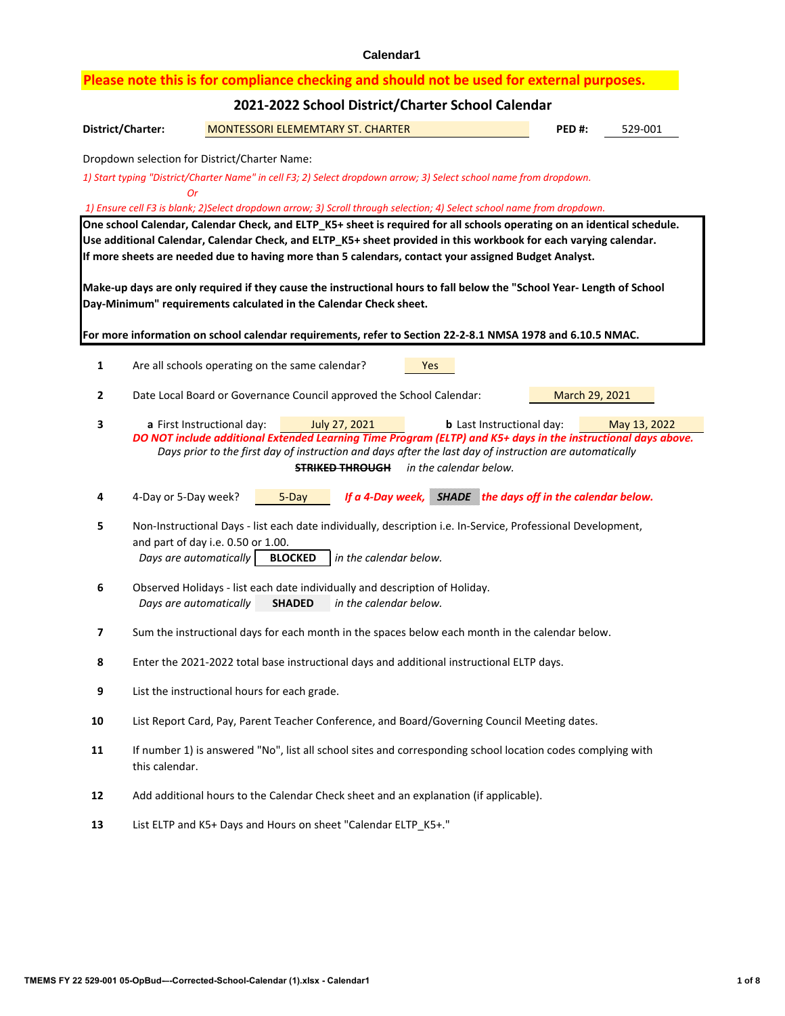|                                                                                                                        | Please note this is for compliance checking and should not be used for external purposes.                                                                                                                                                   |  |  |  |  |  |  |  |  |  |
|------------------------------------------------------------------------------------------------------------------------|---------------------------------------------------------------------------------------------------------------------------------------------------------------------------------------------------------------------------------------------|--|--|--|--|--|--|--|--|--|
|                                                                                                                        | 2021-2022 School District/Charter School Calendar                                                                                                                                                                                           |  |  |  |  |  |  |  |  |  |
| District/Charter:<br><b>MONTESSORI ELEMEMTARY ST. CHARTER</b><br>529-001<br>PED#:                                      |                                                                                                                                                                                                                                             |  |  |  |  |  |  |  |  |  |
|                                                                                                                        | Dropdown selection for District/Charter Name:                                                                                                                                                                                               |  |  |  |  |  |  |  |  |  |
|                                                                                                                        | 1) Start typing "District/Charter Name" in cell F3; 2) Select dropdown arrow; 3) Select school name from dropdown.<br><b>Or</b>                                                                                                             |  |  |  |  |  |  |  |  |  |
| 1) Ensure cell F3 is blank; 2)Select dropdown arrow; 3) Scroll through selection; 4) Select school name from dropdown. |                                                                                                                                                                                                                                             |  |  |  |  |  |  |  |  |  |
|                                                                                                                        | One school Calendar, Calendar Check, and ELTP_K5+ sheet is required for all schools operating on an identical schedule.<br>Use additional Calendar, Calendar Check, and ELTP_K5+ sheet provided in this workbook for each varying calendar. |  |  |  |  |  |  |  |  |  |
|                                                                                                                        | If more sheets are needed due to having more than 5 calendars, contact your assigned Budget Analyst.                                                                                                                                        |  |  |  |  |  |  |  |  |  |
|                                                                                                                        | Make-up days are only required if they cause the instructional hours to fall below the "School Year- Length of School                                                                                                                       |  |  |  |  |  |  |  |  |  |
|                                                                                                                        | Day-Minimum" requirements calculated in the Calendar Check sheet.                                                                                                                                                                           |  |  |  |  |  |  |  |  |  |
|                                                                                                                        | For more information on school calendar requirements, refer to Section 22-2-8.1 NMSA 1978 and 6.10.5 NMAC.                                                                                                                                  |  |  |  |  |  |  |  |  |  |
| 1                                                                                                                      | Are all schools operating on the same calendar?<br>Yes                                                                                                                                                                                      |  |  |  |  |  |  |  |  |  |
| 2                                                                                                                      | Date Local Board or Governance Council approved the School Calendar:<br>March 29, 2021                                                                                                                                                      |  |  |  |  |  |  |  |  |  |
| 3                                                                                                                      | a First Instructional day:<br>July 27, 2021<br><b>b</b> Last Instructional day:<br>May 13, 2022                                                                                                                                             |  |  |  |  |  |  |  |  |  |
|                                                                                                                        | DO NOT include additional Extended Learning Time Program (ELTP) and K5+ days in the instructional days above.<br>Days prior to the first day of instruction and days after the last day of instruction are automatically                    |  |  |  |  |  |  |  |  |  |
|                                                                                                                        | in the calendar below.<br><b>STRIKED THROUGH</b>                                                                                                                                                                                            |  |  |  |  |  |  |  |  |  |
| 4                                                                                                                      | <b>SHADE</b> the days off in the calendar below.<br>4-Day or 5-Day week?<br>5-Day<br>If a 4-Day week,                                                                                                                                       |  |  |  |  |  |  |  |  |  |
| 5                                                                                                                      | Non-Instructional Days - list each date individually, description i.e. In-Service, Professional Development,                                                                                                                                |  |  |  |  |  |  |  |  |  |
|                                                                                                                        |                                                                                                                                                                                                                                             |  |  |  |  |  |  |  |  |  |
|                                                                                                                        | and part of day i.e. 0.50 or 1.00.<br>Days are automatically<br><b>BLOCKED</b><br>in the calendar below.                                                                                                                                    |  |  |  |  |  |  |  |  |  |
| 6                                                                                                                      | Observed Holidays - list each date individually and description of Holiday.                                                                                                                                                                 |  |  |  |  |  |  |  |  |  |
|                                                                                                                        | Days are automatically<br>in the calendar below.<br><b>SHADED</b>                                                                                                                                                                           |  |  |  |  |  |  |  |  |  |
| 7                                                                                                                      | Sum the instructional days for each month in the spaces below each month in the calendar below.                                                                                                                                             |  |  |  |  |  |  |  |  |  |
| 8                                                                                                                      | Enter the 2021-2022 total base instructional days and additional instructional ELTP days.                                                                                                                                                   |  |  |  |  |  |  |  |  |  |
| 9                                                                                                                      | List the instructional hours for each grade.                                                                                                                                                                                                |  |  |  |  |  |  |  |  |  |
| 10                                                                                                                     | List Report Card, Pay, Parent Teacher Conference, and Board/Governing Council Meeting dates.                                                                                                                                                |  |  |  |  |  |  |  |  |  |
| 11                                                                                                                     | If number 1) is answered "No", list all school sites and corresponding school location codes complying with<br>this calendar.                                                                                                               |  |  |  |  |  |  |  |  |  |
| 12                                                                                                                     | Add additional hours to the Calendar Check sheet and an explanation (if applicable).                                                                                                                                                        |  |  |  |  |  |  |  |  |  |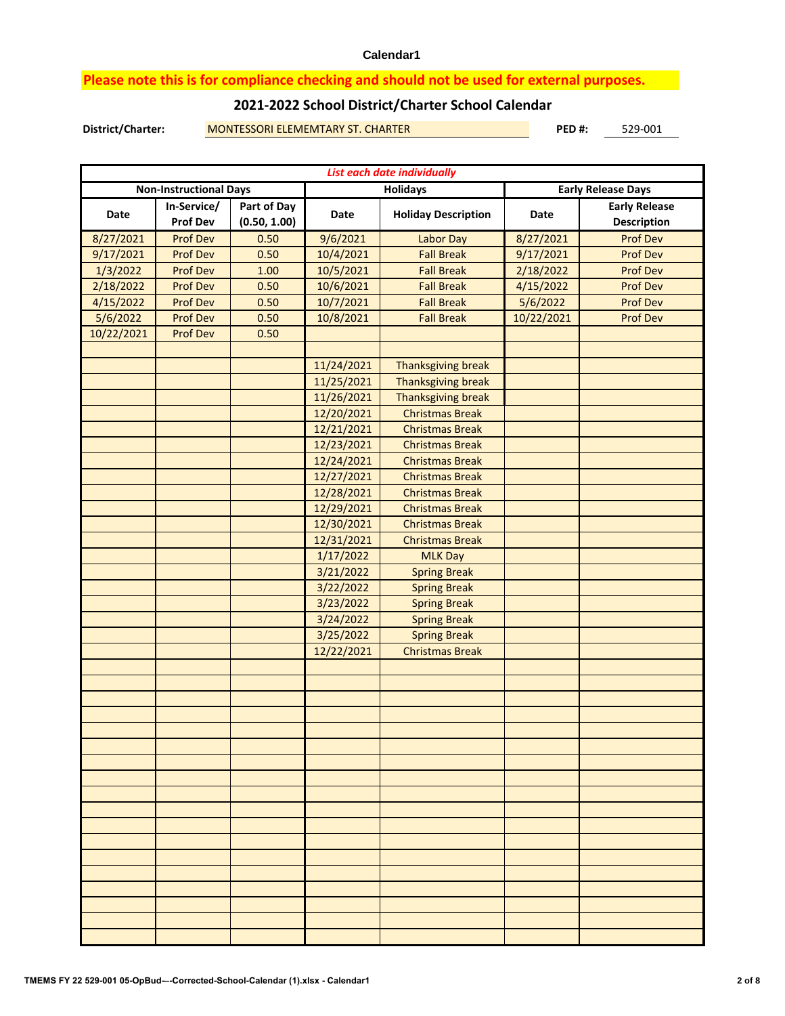### **Please note this is for compliance checking and should not be used for external purposes.**

### **2021-2022 School District/Charter School Calendar**

**District/Charter: PED #:** MONTESSORI ELEMEMTARY ST. CHARTER 529-001

| List each date individually |                                |                             |            |                            |                           |                                            |  |  |  |  |  |
|-----------------------------|--------------------------------|-----------------------------|------------|----------------------------|---------------------------|--------------------------------------------|--|--|--|--|--|
|                             | <b>Non-Instructional Days</b>  |                             |            | <b>Holidays</b>            | <b>Early Release Days</b> |                                            |  |  |  |  |  |
| Date                        | In-Service/<br><b>Prof Dev</b> | Part of Day<br>(0.50, 1.00) | Date       | <b>Holiday Description</b> | Date                      | <b>Early Release</b><br><b>Description</b> |  |  |  |  |  |
| 8/27/2021                   | <b>Prof Dev</b>                | 0.50                        | 9/6/2021   | <b>Labor Day</b>           | 8/27/2021                 | <b>Prof Dev</b>                            |  |  |  |  |  |
| 9/17/2021                   | <b>Prof Dev</b>                | 0.50                        | 10/4/2021  | <b>Fall Break</b>          | 9/17/2021                 | <b>Prof Dev</b>                            |  |  |  |  |  |
| 1/3/2022                    | <b>Prof Dev</b>                | 1.00                        | 10/5/2021  | <b>Fall Break</b>          | 2/18/2022                 | <b>Prof Dev</b>                            |  |  |  |  |  |
| 2/18/2022                   | <b>Prof Dev</b>                | 0.50                        | 10/6/2021  | <b>Fall Break</b>          | 4/15/2022                 | <b>Prof Dev</b>                            |  |  |  |  |  |
| 4/15/2022                   | <b>Prof Dev</b>                | 0.50                        | 10/7/2021  | <b>Fall Break</b>          | 5/6/2022                  | <b>Prof Dev</b>                            |  |  |  |  |  |
| 5/6/2022                    | <b>Prof Dev</b>                | 0.50                        | 10/8/2021  | <b>Fall Break</b>          | 10/22/2021                | <b>Prof Dev</b>                            |  |  |  |  |  |
| 10/22/2021                  | <b>Prof Dev</b>                | 0.50                        |            |                            |                           |                                            |  |  |  |  |  |
|                             |                                |                             |            |                            |                           |                                            |  |  |  |  |  |
|                             |                                |                             | 11/24/2021 | <b>Thanksgiving break</b>  |                           |                                            |  |  |  |  |  |
|                             |                                |                             | 11/25/2021 | <b>Thanksgiving break</b>  |                           |                                            |  |  |  |  |  |
|                             |                                |                             | 11/26/2021 | Thanksgiving break         |                           |                                            |  |  |  |  |  |
|                             |                                |                             | 12/20/2021 | <b>Christmas Break</b>     |                           |                                            |  |  |  |  |  |
|                             |                                |                             | 12/21/2021 | <b>Christmas Break</b>     |                           |                                            |  |  |  |  |  |
|                             |                                |                             | 12/23/2021 | <b>Christmas Break</b>     |                           |                                            |  |  |  |  |  |
|                             |                                |                             | 12/24/2021 | <b>Christmas Break</b>     |                           |                                            |  |  |  |  |  |
|                             |                                |                             | 12/27/2021 | <b>Christmas Break</b>     |                           |                                            |  |  |  |  |  |
|                             |                                |                             | 12/28/2021 | <b>Christmas Break</b>     |                           |                                            |  |  |  |  |  |
|                             |                                |                             | 12/29/2021 | <b>Christmas Break</b>     |                           |                                            |  |  |  |  |  |
|                             |                                |                             | 12/30/2021 | <b>Christmas Break</b>     |                           |                                            |  |  |  |  |  |
|                             |                                |                             | 12/31/2021 | <b>Christmas Break</b>     |                           |                                            |  |  |  |  |  |
|                             |                                |                             | 1/17/2022  | <b>MLK Day</b>             |                           |                                            |  |  |  |  |  |
|                             |                                |                             | 3/21/2022  | <b>Spring Break</b>        |                           |                                            |  |  |  |  |  |
|                             |                                |                             | 3/22/2022  | <b>Spring Break</b>        |                           |                                            |  |  |  |  |  |
|                             |                                |                             | 3/23/2022  | <b>Spring Break</b>        |                           |                                            |  |  |  |  |  |
|                             |                                |                             | 3/24/2022  | <b>Spring Break</b>        |                           |                                            |  |  |  |  |  |
|                             |                                |                             | 3/25/2022  | <b>Spring Break</b>        |                           |                                            |  |  |  |  |  |
|                             |                                |                             | 12/22/2021 | <b>Christmas Break</b>     |                           |                                            |  |  |  |  |  |
|                             |                                |                             |            |                            |                           |                                            |  |  |  |  |  |
|                             |                                |                             |            |                            |                           |                                            |  |  |  |  |  |
|                             |                                |                             |            |                            |                           |                                            |  |  |  |  |  |
|                             |                                |                             |            |                            |                           |                                            |  |  |  |  |  |
|                             |                                |                             |            |                            |                           |                                            |  |  |  |  |  |
|                             |                                |                             |            |                            |                           |                                            |  |  |  |  |  |
|                             |                                |                             |            |                            |                           |                                            |  |  |  |  |  |
|                             |                                |                             |            |                            |                           |                                            |  |  |  |  |  |
|                             |                                |                             |            |                            |                           |                                            |  |  |  |  |  |
|                             |                                |                             |            |                            |                           |                                            |  |  |  |  |  |
|                             |                                |                             |            |                            |                           |                                            |  |  |  |  |  |
|                             |                                |                             |            |                            |                           |                                            |  |  |  |  |  |
|                             |                                |                             |            |                            |                           |                                            |  |  |  |  |  |
|                             |                                |                             |            |                            |                           |                                            |  |  |  |  |  |
|                             |                                |                             |            |                            |                           |                                            |  |  |  |  |  |
|                             |                                |                             |            |                            |                           |                                            |  |  |  |  |  |
|                             |                                |                             |            |                            |                           |                                            |  |  |  |  |  |
|                             |                                |                             |            |                            |                           |                                            |  |  |  |  |  |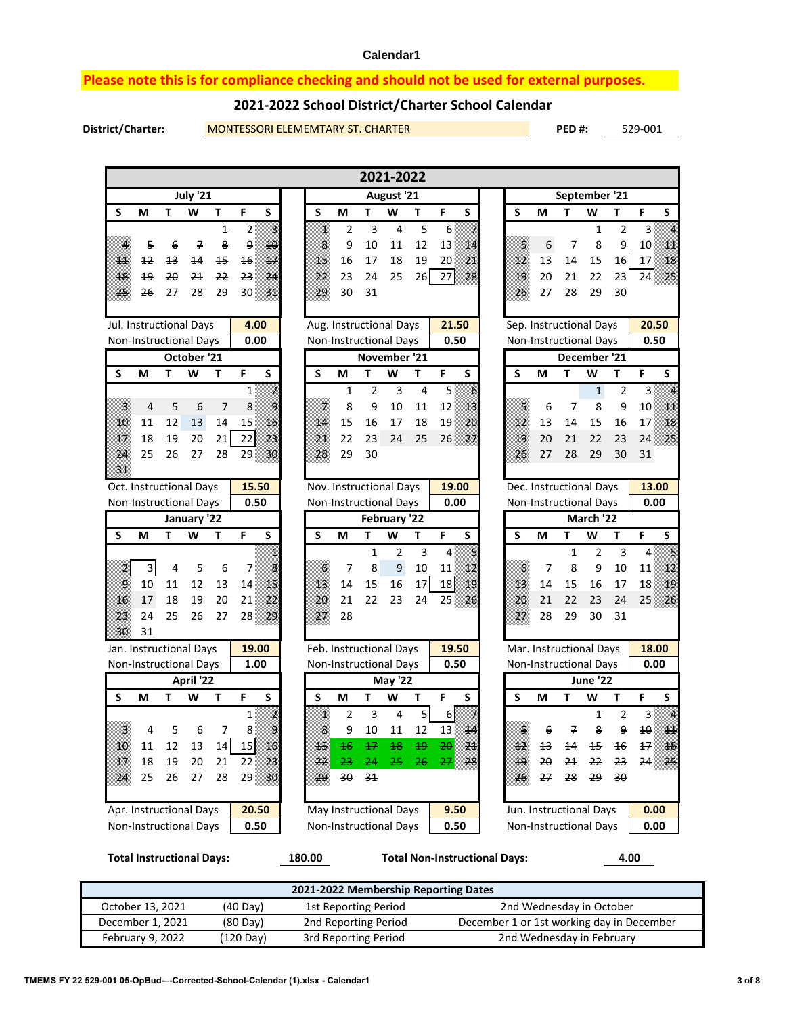### **Please note this is for compliance checking and should not be used for external purposes.**

### **2021-2022 School District/Charter School Calendar**

**District/Charter: PED #:** MONTESSORI ELEMEMTARY ST. CHARTER 529-001

|                                  |      |    |                |                          |                                                                                                                                                                                                                           |                  |              |                                    | 2021-2022               |                 |                                                                                                                                                                                                                                       |   |                         |           |                |                               |                 |                                            |                                                                                                                                       |
|----------------------------------|------|----|----------------|--------------------------|---------------------------------------------------------------------------------------------------------------------------------------------------------------------------------------------------------------------------|------------------|--------------|------------------------------------|-------------------------|-----------------|---------------------------------------------------------------------------------------------------------------------------------------------------------------------------------------------------------------------------------------|---|-------------------------|-----------|----------------|-------------------------------|-----------------|--------------------------------------------|---------------------------------------------------------------------------------------------------------------------------------------|
| July '21                         |      |    |                |                          |                                                                                                                                                                                                                           |                  | August '21   |                                    |                         | September '21   |                                                                                                                                                                                                                                       |   |                         |           |                |                               |                 |                                            |                                                                                                                                       |
| S                                | М    | T. | W              | T                        | F<br>S                                                                                                                                                                                                                    | S                | М            | T                                  | W                       | T               | F<br>S                                                                                                                                                                                                                                | S |                         | M         | т              | W                             | T               | F                                          | S                                                                                                                                     |
|                                  |      |    |                | $\mathtt{\textbf{1}}$    | Ĩ.<br>$\mathbf{2}$                                                                                                                                                                                                        | K)               |              | 2                                  | 3<br>4                  | 5               | 6<br>en de la composició de la composició de la composició de la composició de la composició de la composició de la<br>Del composició de la composició de la composició de la composició de la composició de la composició de la comp |   |                         |           |                | 1                             | $\overline{2}$  | $\overline{3}$                             | n.                                                                                                                                    |
| U,                               | 5    | 6  | 7              | 8                        | ц.<br>9                                                                                                                                                                                                                   | 1                |              | 9<br>10                            | 11                      | 12              | 13<br>XB.                                                                                                                                                                                                                             |   | e.<br>Ma                | 6         | 7              | 8                             | 9               | 10                                         | <u>stari</u>                                                                                                                          |
| asiasi i                         | $+2$ | 43 | 44             | 15                       | X.<br>46                                                                                                                                                                                                                  | X.               | 16           | 17                                 | 18                      | 19              | Ź.<br>20                                                                                                                                                                                                                              |   | K)                      | 13        | 14             | 15                            | 16              | 17                                         | B                                                                                                                                     |
| XS.                              | 49   | 20 | 24             | 22                       | n di<br>23                                                                                                                                                                                                                | <u>ma</u>        | 23           | 24                                 | 25                      | 26              | 27<br>28                                                                                                                                                                                                                              |   | B                       | 20        | 21             | 22                            | 23              | 24                                         | z.                                                                                                                                    |
| en die gewone<br>Geboortes       | 26   | 27 | 28             | 29                       | 30<br>i Siri                                                                                                                                                                                                              | 28               | 30           | 31                                 |                         |                 |                                                                                                                                                                                                                                       |   | 28                      | 27        | 28             | 29                            | 30              |                                            |                                                                                                                                       |
| Jul. Instructional Days          |      |    |                |                          | 4.00                                                                                                                                                                                                                      |                  |              |                                    | Aug. Instructional Days |                 | 21.50                                                                                                                                                                                                                                 |   |                         |           |                | Sep. Instructional Days       |                 | 20.50                                      |                                                                                                                                       |
| <b>Non-Instructional Days</b>    |      |    |                |                          | 0.00                                                                                                                                                                                                                      |                  |              |                                    | Non-Instructional Days  |                 | 0.50                                                                                                                                                                                                                                  |   |                         |           |                | <b>Non-Instructional Days</b> |                 | 0.50                                       |                                                                                                                                       |
|                                  |      |    | October '21    |                          |                                                                                                                                                                                                                           |                  |              |                                    | November '21            |                 |                                                                                                                                                                                                                                       |   |                         |           |                | December '21                  |                 |                                            |                                                                                                                                       |
| S                                | М    | T  | W              | T                        | F<br>S                                                                                                                                                                                                                    | S                | M            | T                                  | W                       | T               | F<br>$\overline{\mathsf{s}}$                                                                                                                                                                                                          | S |                         | M         | Т              | W                             | T               | F                                          | S                                                                                                                                     |
|                                  |      |    |                |                          | en de la componenta de la componenta de la componenta de la componenta de la componenta de la compo<br>Campo de la componenta de la componenta de la componenta de la componenta de la componenta de la componenta d<br>1 |                  |              | 1                                  | 3<br>$\overline{2}$     | 4               | K.<br>5                                                                                                                                                                                                                               |   |                         |           |                | $\mathbf{1}$                  | 2               | $\mathbf{3}$                               | Ä                                                                                                                                     |
| er<br>B                          | 4    | 5  | 6              | $\overline{\phantom{a}}$ | S<br>8                                                                                                                                                                                                                    | N.               |              | 8                                  | 9<br>10                 | 11              | 12<br>×,                                                                                                                                                                                                                              |   | e.<br>Ma                | 6         | 7              | 8                             | 9               | 10                                         | <u>Ma</u>                                                                                                                             |
| 28                               | 11   | 12 | 13             | 14                       | X.<br>15                                                                                                                                                                                                                  | XA               | 15           | 16                                 | 17                      | 18              | Z,<br>19                                                                                                                                                                                                                              |   | <u>M</u>                | 13        | 14             | 15                            | 16              | 17                                         | B                                                                                                                                     |
| s W                              | 18   | 19 | 20             | 21                       | e.<br>22                                                                                                                                                                                                                  | 77.              | 22           | 23                                 | 24                      | 25              | 26<br>T.                                                                                                                                                                                                                              |   | ×                       | 20        | 21             | 22                            | 23              | 24                                         | n Sa                                                                                                                                  |
| VI.<br>B.                        | 25   | 26 | 27             | 28                       | 29<br>78.                                                                                                                                                                                                                 | 28               | 29           | 30                                 |                         |                 |                                                                                                                                                                                                                                       |   | 28                      | 27        | 28             | 29                            | 30              | 31                                         |                                                                                                                                       |
| Oct. Instructional Days          |      |    |                |                          | 15.50                                                                                                                                                                                                                     |                  |              |                                    | Nov. Instructional Days |                 | 19.00                                                                                                                                                                                                                                 |   |                         |           |                | Dec. Instructional Days       |                 | 13.00                                      |                                                                                                                                       |
| <b>Non-Instructional Days</b>    |      |    |                |                          | 0.50                                                                                                                                                                                                                      |                  |              |                                    | Non-Instructional Days  |                 | 0.00                                                                                                                                                                                                                                  |   |                         |           |                | <b>Non-Instructional Days</b> |                 | 0.00                                       |                                                                                                                                       |
|                                  |      |    | January '22    |                          |                                                                                                                                                                                                                           |                  |              |                                    | February '22            |                 |                                                                                                                                                                                                                                       |   |                         |           |                | March '22                     |                 |                                            |                                                                                                                                       |
| S                                | М    | T  | W              | т                        | F<br>S                                                                                                                                                                                                                    | S                | M            | т                                  | W                       | T               | F<br>S                                                                                                                                                                                                                                | S |                         | М         | Т              | W                             | T               | F                                          | S                                                                                                                                     |
|                                  |      |    |                |                          | X                                                                                                                                                                                                                         |                  |              |                                    | $\overline{2}$<br>1     | 3               | y.<br>4                                                                                                                                                                                                                               |   |                         |           | $\mathbf{1}$   | $\overline{2}$                | 3               | $\overline{4}$                             | en de la componenta<br>Componenta de la componenta de la componenta de la componenta de la componenta de la componenta de la componen |
| Ÿ,                               | 3    | 4  | 5              | 6                        | Š<br>7                                                                                                                                                                                                                    | K.               |              | 7                                  | 8<br>9                  | 10              | <u>sa</u><br>11                                                                                                                                                                                                                       |   | Ķ,                      | 7         | 8              | 9                             | 10              | 11                                         | <b>Side</b>                                                                                                                           |
| X)                               | 10   | 11 | 12             | 13                       | X.<br>14                                                                                                                                                                                                                  | XB.              | 14           | 15                                 | 16                      | 17              | 18<br>B                                                                                                                                                                                                                               |   | <u>ren</u>              | 14        | 15             | 16                            | 17              | 18                                         | ×                                                                                                                                     |
| X.                               | 17   | 18 | 19             | 20                       | ,<br>21                                                                                                                                                                                                                   | 20               | 21           | 22                                 | 23                      | 24              | 25<br>Z,                                                                                                                                                                                                                              |   | $\overline{\mathbf{z}}$ | 21        | 22             | 23                            | 24              | 25                                         | X.                                                                                                                                    |
| <u>n is</u>                      | 24   | 25 | 26             | 27                       | zs<br>28                                                                                                                                                                                                                  | m                | 28           |                                    |                         |                 |                                                                                                                                                                                                                                       |   | <u>m</u>                | 28        | 29             | 30                            | 31              |                                            |                                                                                                                                       |
| 30                               | 31   |    |                |                          |                                                                                                                                                                                                                           |                  |              |                                    |                         |                 |                                                                                                                                                                                                                                       |   |                         |           |                |                               |                 |                                            |                                                                                                                                       |
| Jan. Instructional Days          |      |    |                |                          | 19.00                                                                                                                                                                                                                     |                  |              |                                    | Feb. Instructional Days |                 | 19.50                                                                                                                                                                                                                                 |   |                         |           |                | Mar. Instructional Days       |                 | 18.00                                      |                                                                                                                                       |
| Non-Instructional Days           |      |    |                |                          | 1.00                                                                                                                                                                                                                      |                  |              |                                    | Non-Instructional Days  |                 | 0.50                                                                                                                                                                                                                                  |   |                         |           |                | <b>Non-Instructional Days</b> |                 | 0.00                                       |                                                                                                                                       |
| S                                | М    | T  | April '22<br>W | T                        | F<br>S                                                                                                                                                                                                                    | S                | M            | T                                  | <b>May '22</b><br>W     | T               | F<br>S                                                                                                                                                                                                                                | S |                         | М         | T              | June '22<br>W                 | T               | F                                          | S                                                                                                                                     |
|                                  |      |    |                |                          |                                                                                                                                                                                                                           |                  |              | $\overline{2}$                     | 4                       | $\overline{5}$  | $\boldsymbol{6}$<br>J.                                                                                                                                                                                                                |   |                         |           |                |                               |                 |                                            |                                                                                                                                       |
| N                                | 4    | 5  | 6              | 7                        | Ĩ.<br>1<br>en<br>Mo<br>8                                                                                                                                                                                                  | ,<br>Š,          |              | 9<br>10                            | 3<br>11                 | 12              | 13<br>na k                                                                                                                                                                                                                            |   | y.                      | 6         | 7              | $\overline{1}$<br>8           | 2<br>9          | $\overline{\mathbf{3}}$<br>$\overline{40}$ | A<br>X.                                                                                                                               |
| XX.                              | 11   | 12 | 13             | 14                       | 15<br>X.                                                                                                                                                                                                                  | sa.<br>Manazarta |              | 46 <sub>1</sub><br>$\overline{17}$ | 48                      | $\overline{49}$ | $\Omega$<br>y.                                                                                                                                                                                                                        |   | S                       | 13        | 14             | 15                            | 46              | 17                                         | Ħ                                                                                                                                     |
| KM).                             | 18   | 19 | 20             | 21                       | V.<br>22                                                                                                                                                                                                                  | n a              | 23.          | 24                                 | 25                      | <del>26</del>   | 28<br><del>27</del>                                                                                                                                                                                                                   |   | <u>na K</u>             | $2\theta$ | 2 <sub>1</sub> | 22                            | <del>23</del>   | 24                                         | nisa.<br>Manazarta                                                                                                                    |
| <u>Ma</u>                        | 25   | 26 | 27             | 28                       | 29<br>30                                                                                                                                                                                                                  | $\mathbf{r}$     | $30^{\circ}$ | 34                                 |                         |                 |                                                                                                                                                                                                                                       |   | 25                      | 27        | 28             | <del>29</del>                 | $\overline{30}$ |                                            |                                                                                                                                       |
|                                  |      |    |                |                          |                                                                                                                                                                                                                           |                  |              |                                    |                         |                 |                                                                                                                                                                                                                                       |   |                         |           |                |                               |                 |                                            |                                                                                                                                       |
| Apr. Instructional Days          |      |    |                |                          | 20.50                                                                                                                                                                                                                     |                  |              |                                    | May Instructional Days  |                 | 9.50                                                                                                                                                                                                                                  |   |                         |           |                | Jun. Instructional Days       |                 | 0.00                                       |                                                                                                                                       |
| <b>Non-Instructional Days</b>    |      |    |                |                          | 0.50                                                                                                                                                                                                                      |                  |              |                                    | Non-Instructional Days  |                 | 0.50                                                                                                                                                                                                                                  |   |                         |           |                | <b>Non-Instructional Days</b> |                 | 0.00                                       |                                                                                                                                       |
| <b>Total Instructional Days:</b> |      |    |                |                          |                                                                                                                                                                                                                           | 180.00           |              |                                    |                         |                 | <b>Total Non-Instructional Days:</b>                                                                                                                                                                                                  |   |                         |           |                |                               | 4.00            |                                            |                                                                                                                                       |

**2021-2022 Membership Reporting Dates** October 13, 2021 December 1, 2021 February 9, 2022  $\overline{(40 \text{ Day})}$ (80 Day) (120 Day) 1st Reporting Period 2nd Reporting Period 3rd Reporting Period 2nd Wednesday in October December 1 or 1st working day in December 2nd Wednesday in February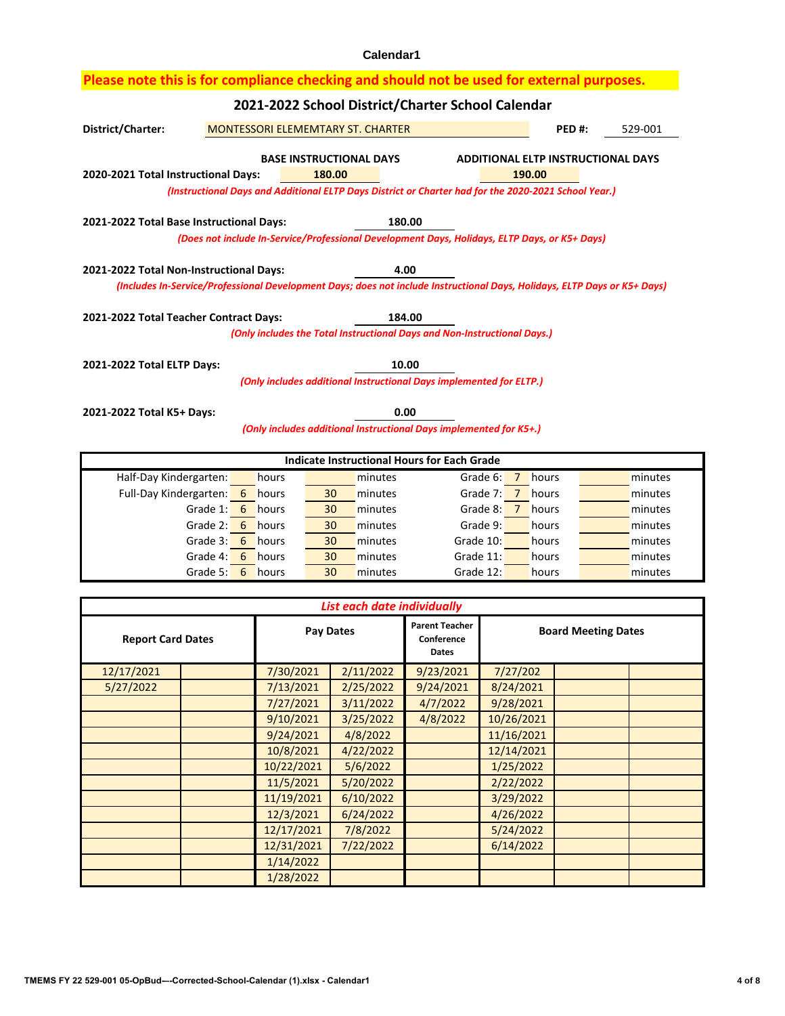| District/Charter:<br>MONTESSORI ELEMEMTARY ST. CHARTER<br>PED#:<br>529-001                           |                                                                                                                                              |                                                                                                                                                  |                                                                                                                                                     |                                                                                                                                              |                                                                                                                                                                                                                                                                                                                                                                                                                              |                                                                                                                                                                                                                                                                                                                                                                      |  |  |  |  |  |
|------------------------------------------------------------------------------------------------------|----------------------------------------------------------------------------------------------------------------------------------------------|--------------------------------------------------------------------------------------------------------------------------------------------------|-----------------------------------------------------------------------------------------------------------------------------------------------------|----------------------------------------------------------------------------------------------------------------------------------------------|------------------------------------------------------------------------------------------------------------------------------------------------------------------------------------------------------------------------------------------------------------------------------------------------------------------------------------------------------------------------------------------------------------------------------|----------------------------------------------------------------------------------------------------------------------------------------------------------------------------------------------------------------------------------------------------------------------------------------------------------------------------------------------------------------------|--|--|--|--|--|
|                                                                                                      |                                                                                                                                              |                                                                                                                                                  |                                                                                                                                                     |                                                                                                                                              |                                                                                                                                                                                                                                                                                                                                                                                                                              |                                                                                                                                                                                                                                                                                                                                                                      |  |  |  |  |  |
| 2020-2021 Total Instructional Days:<br>180.00<br>190.00                                              |                                                                                                                                              |                                                                                                                                                  |                                                                                                                                                     |                                                                                                                                              |                                                                                                                                                                                                                                                                                                                                                                                                                              |                                                                                                                                                                                                                                                                                                                                                                      |  |  |  |  |  |
| (Instructional Days and Additional ELTP Days District or Charter had for the 2020-2021 School Year.) |                                                                                                                                              |                                                                                                                                                  |                                                                                                                                                     |                                                                                                                                              |                                                                                                                                                                                                                                                                                                                                                                                                                              |                                                                                                                                                                                                                                                                                                                                                                      |  |  |  |  |  |
| 2021-2022 Total Base Instructional Days:                                                             |                                                                                                                                              |                                                                                                                                                  |                                                                                                                                                     |                                                                                                                                              |                                                                                                                                                                                                                                                                                                                                                                                                                              |                                                                                                                                                                                                                                                                                                                                                                      |  |  |  |  |  |
| (Does not include In-Service/Professional Development Days, Holidays, ELTP Days, or K5+ Days)        |                                                                                                                                              |                                                                                                                                                  |                                                                                                                                                     |                                                                                                                                              |                                                                                                                                                                                                                                                                                                                                                                                                                              |                                                                                                                                                                                                                                                                                                                                                                      |  |  |  |  |  |
|                                                                                                      |                                                                                                                                              |                                                                                                                                                  |                                                                                                                                                     |                                                                                                                                              |                                                                                                                                                                                                                                                                                                                                                                                                                              |                                                                                                                                                                                                                                                                                                                                                                      |  |  |  |  |  |
| 4.00<br>2021-2022 Total Non-Instructional Days:                                                      |                                                                                                                                              |                                                                                                                                                  |                                                                                                                                                     |                                                                                                                                              |                                                                                                                                                                                                                                                                                                                                                                                                                              |                                                                                                                                                                                                                                                                                                                                                                      |  |  |  |  |  |
|                                                                                                      |                                                                                                                                              |                                                                                                                                                  |                                                                                                                                                     |                                                                                                                                              |                                                                                                                                                                                                                                                                                                                                                                                                                              |                                                                                                                                                                                                                                                                                                                                                                      |  |  |  |  |  |
|                                                                                                      |                                                                                                                                              |                                                                                                                                                  |                                                                                                                                                     |                                                                                                                                              |                                                                                                                                                                                                                                                                                                                                                                                                                              |                                                                                                                                                                                                                                                                                                                                                                      |  |  |  |  |  |
|                                                                                                      |                                                                                                                                              |                                                                                                                                                  |                                                                                                                                                     |                                                                                                                                              |                                                                                                                                                                                                                                                                                                                                                                                                                              |                                                                                                                                                                                                                                                                                                                                                                      |  |  |  |  |  |
|                                                                                                      |                                                                                                                                              |                                                                                                                                                  |                                                                                                                                                     |                                                                                                                                              |                                                                                                                                                                                                                                                                                                                                                                                                                              |                                                                                                                                                                                                                                                                                                                                                                      |  |  |  |  |  |
|                                                                                                      |                                                                                                                                              |                                                                                                                                                  |                                                                                                                                                     |                                                                                                                                              |                                                                                                                                                                                                                                                                                                                                                                                                                              |                                                                                                                                                                                                                                                                                                                                                                      |  |  |  |  |  |
|                                                                                                      |                                                                                                                                              |                                                                                                                                                  |                                                                                                                                                     |                                                                                                                                              |                                                                                                                                                                                                                                                                                                                                                                                                                              |                                                                                                                                                                                                                                                                                                                                                                      |  |  |  |  |  |
|                                                                                                      |                                                                                                                                              |                                                                                                                                                  |                                                                                                                                                     |                                                                                                                                              |                                                                                                                                                                                                                                                                                                                                                                                                                              |                                                                                                                                                                                                                                                                                                                                                                      |  |  |  |  |  |
|                                                                                                      |                                                                                                                                              |                                                                                                                                                  |                                                                                                                                                     |                                                                                                                                              |                                                                                                                                                                                                                                                                                                                                                                                                                              |                                                                                                                                                                                                                                                                                                                                                                      |  |  |  |  |  |
|                                                                                                      |                                                                                                                                              |                                                                                                                                                  |                                                                                                                                                     |                                                                                                                                              |                                                                                                                                                                                                                                                                                                                                                                                                                              |                                                                                                                                                                                                                                                                                                                                                                      |  |  |  |  |  |
|                                                                                                      |                                                                                                                                              |                                                                                                                                                  |                                                                                                                                                     |                                                                                                                                              |                                                                                                                                                                                                                                                                                                                                                                                                                              |                                                                                                                                                                                                                                                                                                                                                                      |  |  |  |  |  |
|                                                                                                      | hours                                                                                                                                        | minutes                                                                                                                                          |                                                                                                                                                     |                                                                                                                                              |                                                                                                                                                                                                                                                                                                                                                                                                                              | minutes                                                                                                                                                                                                                                                                                                                                                              |  |  |  |  |  |
|                                                                                                      |                                                                                                                                              |                                                                                                                                                  |                                                                                                                                                     |                                                                                                                                              |                                                                                                                                                                                                                                                                                                                                                                                                                              | minutes<br>minutes                                                                                                                                                                                                                                                                                                                                                   |  |  |  |  |  |
| Grade 2:                                                                                             |                                                                                                                                              | minutes                                                                                                                                          |                                                                                                                                                     |                                                                                                                                              |                                                                                                                                                                                                                                                                                                                                                                                                                              | minutes                                                                                                                                                                                                                                                                                                                                                              |  |  |  |  |  |
| Grade 3:                                                                                             |                                                                                                                                              | minutes                                                                                                                                          | Grade 10:<br>hours<br>minutes                                                                                                                       |                                                                                                                                              |                                                                                                                                                                                                                                                                                                                                                                                                                              |                                                                                                                                                                                                                                                                                                                                                                      |  |  |  |  |  |
| Grade 4:                                                                                             |                                                                                                                                              | minutes                                                                                                                                          | Grade 11:<br>hours                                                                                                                                  |                                                                                                                                              |                                                                                                                                                                                                                                                                                                                                                                                                                              | minutes                                                                                                                                                                                                                                                                                                                                                              |  |  |  |  |  |
| Grade 5:                                                                                             | hours                                                                                                                                        | minutes                                                                                                                                          |                                                                                                                                                     |                                                                                                                                              |                                                                                                                                                                                                                                                                                                                                                                                                                              | minutes                                                                                                                                                                                                                                                                                                                                                              |  |  |  |  |  |
|                                                                                                      |                                                                                                                                              |                                                                                                                                                  |                                                                                                                                                     |                                                                                                                                              |                                                                                                                                                                                                                                                                                                                                                                                                                              |                                                                                                                                                                                                                                                                                                                                                                      |  |  |  |  |  |
|                                                                                                      |                                                                                                                                              |                                                                                                                                                  |                                                                                                                                                     |                                                                                                                                              |                                                                                                                                                                                                                                                                                                                                                                                                                              |                                                                                                                                                                                                                                                                                                                                                                      |  |  |  |  |  |
|                                                                                                      |                                                                                                                                              |                                                                                                                                                  |                                                                                                                                                     |                                                                                                                                              |                                                                                                                                                                                                                                                                                                                                                                                                                              |                                                                                                                                                                                                                                                                                                                                                                      |  |  |  |  |  |
|                                                                                                      |                                                                                                                                              |                                                                                                                                                  | Dates                                                                                                                                               |                                                                                                                                              |                                                                                                                                                                                                                                                                                                                                                                                                                              |                                                                                                                                                                                                                                                                                                                                                                      |  |  |  |  |  |
|                                                                                                      | 7/30/2021                                                                                                                                    | 2/11/2022                                                                                                                                        | 9/23/2021                                                                                                                                           | 7/27/202                                                                                                                                     |                                                                                                                                                                                                                                                                                                                                                                                                                              |                                                                                                                                                                                                                                                                                                                                                                      |  |  |  |  |  |
|                                                                                                      |                                                                                                                                              |                                                                                                                                                  |                                                                                                                                                     |                                                                                                                                              |                                                                                                                                                                                                                                                                                                                                                                                                                              |                                                                                                                                                                                                                                                                                                                                                                      |  |  |  |  |  |
|                                                                                                      |                                                                                                                                              |                                                                                                                                                  |                                                                                                                                                     |                                                                                                                                              |                                                                                                                                                                                                                                                                                                                                                                                                                              |                                                                                                                                                                                                                                                                                                                                                                      |  |  |  |  |  |
|                                                                                                      |                                                                                                                                              |                                                                                                                                                  |                                                                                                                                                     | 11/16/2021                                                                                                                                   |                                                                                                                                                                                                                                                                                                                                                                                                                              |                                                                                                                                                                                                                                                                                                                                                                      |  |  |  |  |  |
|                                                                                                      |                                                                                                                                              |                                                                                                                                                  |                                                                                                                                                     |                                                                                                                                              |                                                                                                                                                                                                                                                                                                                                                                                                                              |                                                                                                                                                                                                                                                                                                                                                                      |  |  |  |  |  |
|                                                                                                      | 9/24/2021<br>10/8/2021                                                                                                                       | 4/8/2022<br>4/22/2022                                                                                                                            |                                                                                                                                                     | 12/14/2021                                                                                                                                   |                                                                                                                                                                                                                                                                                                                                                                                                                              |                                                                                                                                                                                                                                                                                                                                                                      |  |  |  |  |  |
|                                                                                                      | 10/22/2021                                                                                                                                   | 5/6/2022                                                                                                                                         |                                                                                                                                                     | 1/25/2022                                                                                                                                    |                                                                                                                                                                                                                                                                                                                                                                                                                              |                                                                                                                                                                                                                                                                                                                                                                      |  |  |  |  |  |
|                                                                                                      | 11/5/2021                                                                                                                                    | 5/20/2022                                                                                                                                        |                                                                                                                                                     | 2/22/2022                                                                                                                                    |                                                                                                                                                                                                                                                                                                                                                                                                                              |                                                                                                                                                                                                                                                                                                                                                                      |  |  |  |  |  |
|                                                                                                      | 11/19/2021                                                                                                                                   | 6/10/2022                                                                                                                                        |                                                                                                                                                     | 3/29/2022                                                                                                                                    |                                                                                                                                                                                                                                                                                                                                                                                                                              |                                                                                                                                                                                                                                                                                                                                                                      |  |  |  |  |  |
|                                                                                                      | 12/3/2021<br>12/17/2021                                                                                                                      | 6/24/2022<br>7/8/2022                                                                                                                            |                                                                                                                                                     | 4/26/2022<br>5/24/2022                                                                                                                       |                                                                                                                                                                                                                                                                                                                                                                                                                              |                                                                                                                                                                                                                                                                                                                                                                      |  |  |  |  |  |
|                                                                                                      | 2021-2022 Total ELTP Days:<br>2021-2022 Total K5+ Days:<br>Half-Day Kindergarten:<br>Full-Day Kindergarten:<br>6<br><b>Report Card Dates</b> | 2021-2022 Total Teacher Contract Days:<br>hours<br>Grade 1: 6 hours<br>6 hours<br>6 hours<br>6 hours<br>6<br>7/13/2021<br>7/27/2021<br>9/10/2021 | <b>BASE INSTRUCTIONAL DAYS</b><br>30<br>minutes<br>30<br>minutes<br>30<br>30<br>30<br>30<br><b>Pay Dates</b><br>2/25/2022<br>3/11/2022<br>3/25/2022 | 180.00<br>184.00<br>10.00<br>0.00<br>List each date individually<br><b>Parent Teacher</b><br>Conference<br>9/24/2021<br>4/7/2022<br>4/8/2022 | 2021-2022 School District/Charter School Calendar<br>(Only includes the Total Instructional Days and Non-Instructional Days.)<br>(Only includes additional Instructional Days implemented for ELTP.)<br>(Only includes additional Instructional Days implemented for K5+.)<br><b>Indicate Instructional Hours for Each Grade</b><br>Grade 6: $\overline{7}$<br>Grade 9:<br>Grade 12:<br>8/24/2021<br>9/28/2021<br>10/26/2021 | Please note this is for compliance checking and should not be used for external purposes.<br><b>ADDITIONAL ELTP INSTRUCTIONAL DAYS</b><br>(Includes In-Service/Professional Development Days; does not include Instructional Days, Holidays, ELTP Days or K5+ Days)<br>hours<br>Grade 7: 7 hours<br>Grade 8: 7 hours<br>hours<br>hours<br><b>Board Meeting Dates</b> |  |  |  |  |  |

1/28/2022

1/14/2022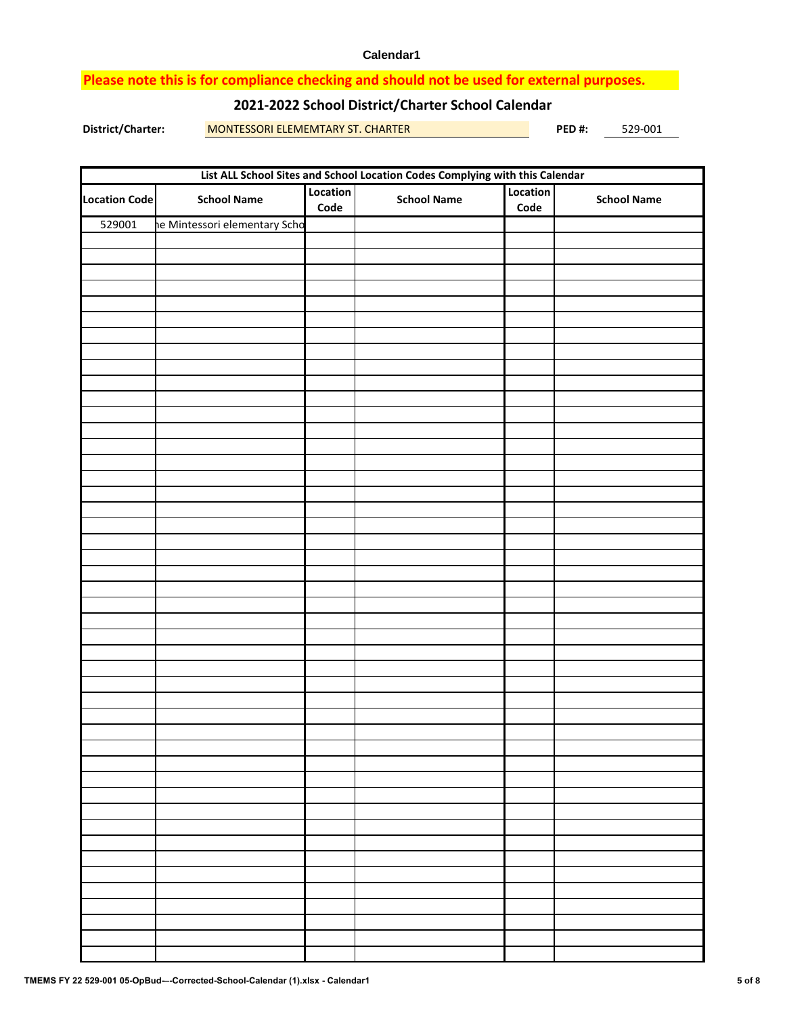### **Please note this is for compliance checking and should not be used for external purposes.**

### **2021-2022 School District/Charter School Calendar**

**District/Charter: PED #:** MONTESSORI ELEMEMTARY ST. CHARTER 529-001

|                      | List ALL School Sites and School Location Codes Complying with this Calendar |                  |                    |                  |                    |  |  |  |  |  |
|----------------------|------------------------------------------------------------------------------|------------------|--------------------|------------------|--------------------|--|--|--|--|--|
| <b>Location Code</b> | <b>School Name</b>                                                           | Location<br>Code | <b>School Name</b> | Location<br>Code | <b>School Name</b> |  |  |  |  |  |
| 529001               | ne Mintessori elementary Scho                                                |                  |                    |                  |                    |  |  |  |  |  |
|                      |                                                                              |                  |                    |                  |                    |  |  |  |  |  |
|                      |                                                                              |                  |                    |                  |                    |  |  |  |  |  |
|                      |                                                                              |                  |                    |                  |                    |  |  |  |  |  |
|                      |                                                                              |                  |                    |                  |                    |  |  |  |  |  |
|                      |                                                                              |                  |                    |                  |                    |  |  |  |  |  |
|                      |                                                                              |                  |                    |                  |                    |  |  |  |  |  |
|                      |                                                                              |                  |                    |                  |                    |  |  |  |  |  |
|                      |                                                                              |                  |                    |                  |                    |  |  |  |  |  |
|                      |                                                                              |                  |                    |                  |                    |  |  |  |  |  |
|                      |                                                                              |                  |                    |                  |                    |  |  |  |  |  |
|                      |                                                                              |                  |                    |                  |                    |  |  |  |  |  |
|                      |                                                                              |                  |                    |                  |                    |  |  |  |  |  |
|                      |                                                                              |                  |                    |                  |                    |  |  |  |  |  |
|                      |                                                                              |                  |                    |                  |                    |  |  |  |  |  |
|                      |                                                                              |                  |                    |                  |                    |  |  |  |  |  |
|                      |                                                                              |                  |                    |                  |                    |  |  |  |  |  |
|                      |                                                                              |                  |                    |                  |                    |  |  |  |  |  |
|                      |                                                                              |                  |                    |                  |                    |  |  |  |  |  |
|                      |                                                                              |                  |                    |                  |                    |  |  |  |  |  |
|                      |                                                                              |                  |                    |                  |                    |  |  |  |  |  |
|                      |                                                                              |                  |                    |                  |                    |  |  |  |  |  |
|                      |                                                                              |                  |                    |                  |                    |  |  |  |  |  |
|                      |                                                                              |                  |                    |                  |                    |  |  |  |  |  |
|                      |                                                                              |                  |                    |                  |                    |  |  |  |  |  |
|                      |                                                                              |                  |                    |                  |                    |  |  |  |  |  |
|                      |                                                                              |                  |                    |                  |                    |  |  |  |  |  |
|                      |                                                                              |                  |                    |                  |                    |  |  |  |  |  |
|                      |                                                                              |                  |                    |                  |                    |  |  |  |  |  |
|                      |                                                                              |                  |                    |                  |                    |  |  |  |  |  |
|                      |                                                                              |                  |                    |                  |                    |  |  |  |  |  |
|                      |                                                                              |                  |                    |                  |                    |  |  |  |  |  |
|                      |                                                                              |                  |                    |                  |                    |  |  |  |  |  |
|                      |                                                                              |                  |                    |                  |                    |  |  |  |  |  |
|                      |                                                                              |                  |                    |                  |                    |  |  |  |  |  |
|                      |                                                                              |                  |                    |                  |                    |  |  |  |  |  |
|                      |                                                                              |                  |                    |                  |                    |  |  |  |  |  |
|                      |                                                                              |                  |                    |                  |                    |  |  |  |  |  |
|                      |                                                                              |                  |                    |                  |                    |  |  |  |  |  |
|                      |                                                                              |                  |                    |                  |                    |  |  |  |  |  |
|                      |                                                                              |                  |                    |                  |                    |  |  |  |  |  |
|                      |                                                                              |                  |                    |                  |                    |  |  |  |  |  |
|                      |                                                                              |                  |                    |                  |                    |  |  |  |  |  |
|                      |                                                                              |                  |                    |                  |                    |  |  |  |  |  |
|                      |                                                                              |                  |                    |                  |                    |  |  |  |  |  |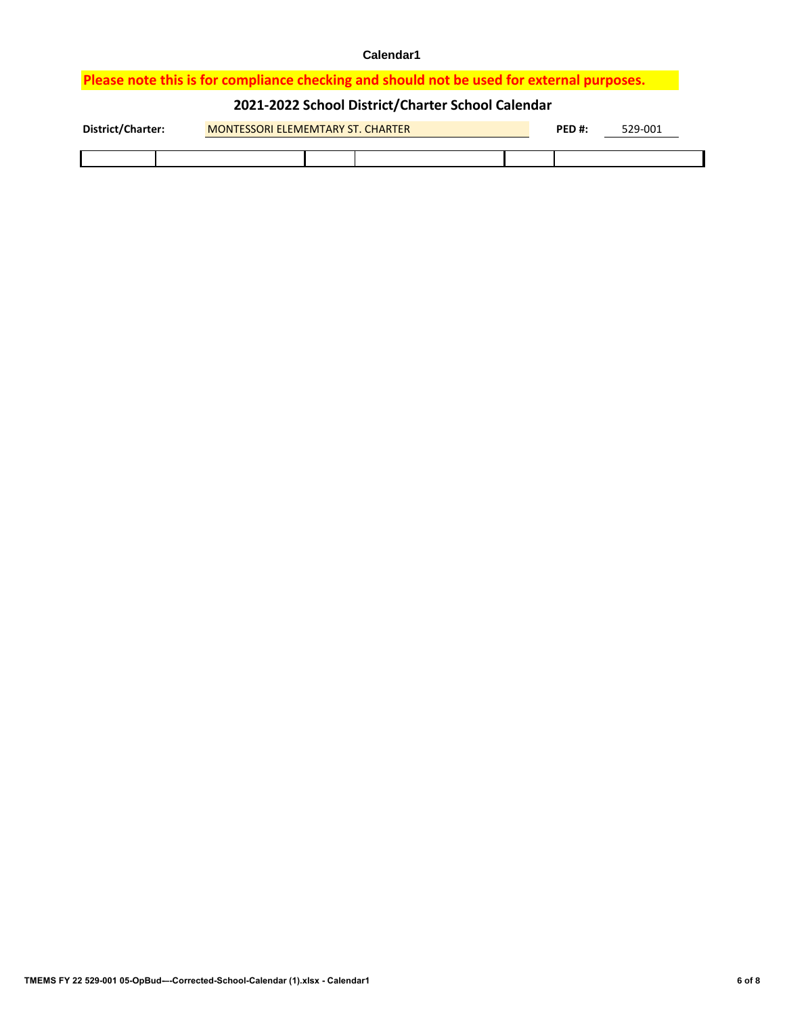## **Please note this is for compliance checking and should not be used for external purposes.**

## **2021-2022 School District/Charter School Calendar**

| District/Charter: |  | <b>MONTESSORI ELEMEMTARY ST. CHARTER</b> |  | PED#: | 529-001 |  |  |
|-------------------|--|------------------------------------------|--|-------|---------|--|--|
|                   |  |                                          |  |       |         |  |  |
|                   |  |                                          |  |       |         |  |  |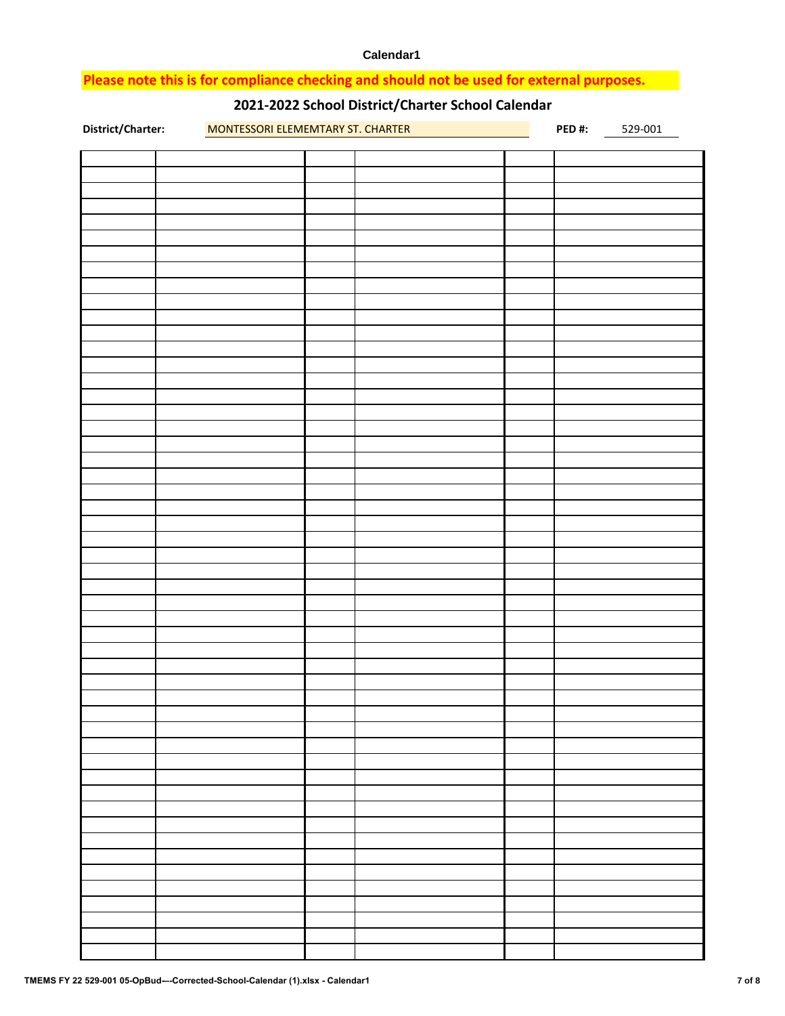### **Please note this is for compliance checking and should not be used for external purposes.**

# **2021-2022 School District/Charter School Calendar**

| District/Charter: | MONTESSORI ELEMEMTARY ST. CHARTER |  | PED#: | 529-001 |
|-------------------|-----------------------------------|--|-------|---------|
|                   |                                   |  |       |         |
|                   |                                   |  |       |         |
|                   |                                   |  |       |         |
|                   |                                   |  |       |         |
|                   |                                   |  |       |         |
|                   |                                   |  |       |         |
|                   |                                   |  |       |         |
|                   |                                   |  |       |         |
|                   |                                   |  |       |         |
|                   |                                   |  |       |         |
|                   |                                   |  |       |         |
|                   |                                   |  |       |         |
|                   |                                   |  |       |         |
|                   |                                   |  |       |         |
|                   |                                   |  |       |         |
|                   |                                   |  |       |         |
|                   |                                   |  |       |         |
|                   |                                   |  |       |         |
|                   |                                   |  |       |         |
|                   |                                   |  |       |         |
|                   |                                   |  |       |         |
|                   |                                   |  |       |         |
|                   |                                   |  |       |         |
|                   |                                   |  |       |         |
|                   |                                   |  |       |         |
|                   |                                   |  |       |         |
|                   |                                   |  |       |         |
|                   |                                   |  |       |         |
|                   |                                   |  |       |         |
|                   |                                   |  |       |         |
|                   |                                   |  |       |         |
|                   |                                   |  |       |         |
|                   |                                   |  |       |         |
|                   |                                   |  |       |         |
|                   |                                   |  |       |         |
|                   |                                   |  |       |         |
|                   |                                   |  |       |         |
|                   |                                   |  |       |         |
|                   |                                   |  |       |         |
|                   |                                   |  |       |         |
|                   |                                   |  |       |         |
|                   |                                   |  |       |         |
|                   |                                   |  |       |         |
|                   |                                   |  |       |         |
|                   |                                   |  |       |         |
|                   |                                   |  |       |         |
|                   |                                   |  |       |         |
|                   |                                   |  |       |         |
|                   |                                   |  |       |         |
|                   |                                   |  |       |         |
|                   |                                   |  |       |         |